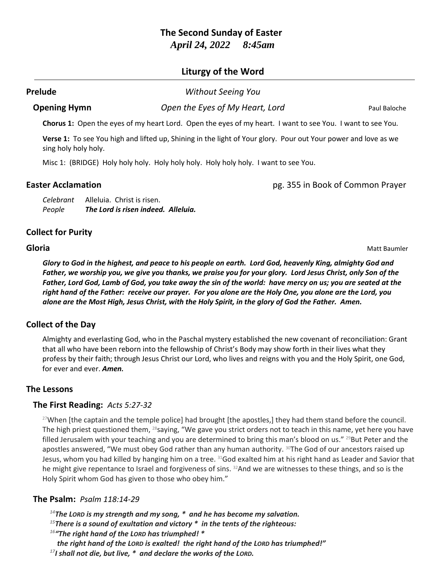# **The Second Sunday of Easter** *April 24, 2022 8:45am*

# **Liturgy of the Word**

#### **Prelude** *Without Seeing You*

**Opening Hymn** *Open the Eyes of My Heart, Lord* Paul Baloche

**Chorus 1:** Open the eyes of my heart Lord. Open the eyes of my heart. I want to see You. I want to see You.

**Verse 1:** To see You high and lifted up, Shining in the light of Your glory. Pour out Your power and love as we sing holy holy holy.

Misc 1: (BRIDGE) Holy holy holy. Holy holy holy. Holy holy holy. I want to see You.

**Easter Acclamation** pg. 355 in Book of Common Prayer

*Celebrant* Alleluia. Christ is risen. *People The Lord is risen indeed. Alleluia.*

# **Collect for Purity**

**Gloria** Matt Baumler

*Glory to God in the highest, and peace to his people on earth. Lord God, heavenly King, almighty God and Father, we worship you, we give you thanks, we praise you for your glory. Lord Jesus Christ, only Son of the Father, Lord God, Lamb of God, you take away the sin of the world: have mercy on us; you are seated at the right hand of the Father: receive our prayer. For you alone are the Holy One, you alone are the Lord, you alone are the Most High, Jesus Christ, with the Holy Spirit, in the glory of God the Father. Amen.*

# **Collect of the Day**

Almighty and everlasting God, who in the Paschal mystery established the new covenant of reconciliation: Grant that all who have been reborn into the fellowship of Christ's Body may show forth in their lives what they profess by their faith; through Jesus Christ our Lord, who lives and reigns with you and the Holy Spirit, one God, for ever and ever. *Amen.*

# **The Lessons**

# **The First Reading:** *Acts 5:27-32*

<sup>27</sup>When [the captain and the temple police] had brought [the apostles,] they had them stand before the council. The high priest questioned them,  $^{28}$ saying, "We gave you strict orders not to teach in this name, yet here you have filled Jerusalem with your teaching and you are determined to bring this man's blood on us." <sup>29</sup>But Peter and the apostles answered, "We must obey God rather than any human authority. <sup>30</sup>The God of our ancestors raised up Jesus, whom you had killed by hanging him on a tree. <sup>31</sup>God exalted him at his right hand as Leader and Savior that he might give repentance to Israel and forgiveness of sins. <sup>32</sup>And we are witnesses to these things, and so is the Holy Spirit whom God has given to those who obey him."

# **The Psalm:** *Psalm 118:14-29*

*<sup>14</sup>The LORD is my strength and my song, \* and he has become my salvation.*

*<sup>15</sup>There is a sound of exultation and victory \* in the tents of the righteous:*

*<sup>16</sup>"The right hand of the LORD has triumphed! \** 

*the right hand of the LORD is exalted! the right hand of the LORD has triumphed!"*

*<sup>17</sup>I shall not die, but live, \* and declare the works of the LORD.*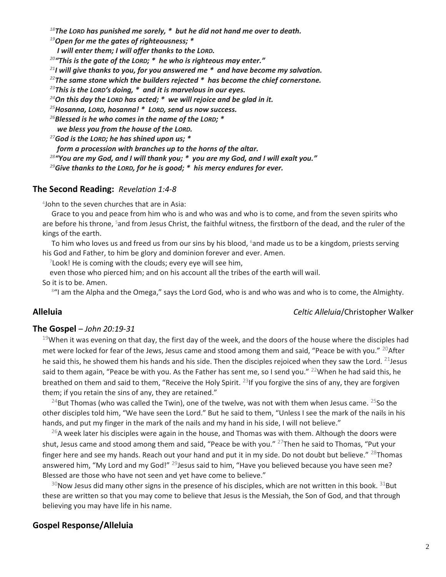*<sup>18</sup>The LORD has punished me sorely, \* but he did not hand me over to death.*

*<sup>19</sup>Open for me the gates of righteousness; \** 

*I will enter them; I will offer thanks to the LORD.*

*<sup>20</sup>"This is the gate of the LORD; \* he who is righteous may enter."*

*<sup>21</sup>I will give thanks to you, for you answered me \* and have become my salvation.*

*<sup>22</sup>The same stone which the builders rejected \* has become the chief cornerstone.*

*<sup>23</sup>This is the LORD's doing, \* and it is marvelous in our eyes.*

*<sup>24</sup>On this day the LORD has acted; \* we will rejoice and be glad in it.*

*<sup>25</sup>Hosanna, LORD, hosanna! \* LORD, send us now success.*

*<sup>26</sup>Blessed is he who comes in the name of the LORD; \** 

*we bless you from the house of the LORD.*

*<sup>27</sup>God is the LORD; he has shined upon us; \**

*form a procession with branches up to the horns of the altar.*

*<sup>28</sup>"You are my God, and I will thank you; \* you are my God, and I will exalt you."*

*<sup>29</sup>Give thanks to the LORD, for he is good; \* his mercy endures for ever.*

#### **The Second Reading:** *Revelation 1:4-8*

4 John to the seven churches that are in Asia:

Grace to you and peace from him who is and who was and who is to come, and from the seven spirits who are before his throne, <sup>5</sup>and from Jesus Christ, the faithful witness, the firstborn of the dead, and the ruler of the kings of the earth.

To him who loves us and freed us from our sins by his blood, <sup>6</sup>and made us to be a kingdom, priests serving his God and Father, to him be glory and dominion forever and ever. Amen.

 $^7$ Look! He is coming with the clouds; every eye will see him,

even those who pierced him; and on his account all the tribes of the earth will wail.

So it is to be. Amen.

8"I am the Alpha and the Omega," says the Lord God, who is and who was and who is to come, the Almighty.

#### **Alleluia** *Celtic Alleluia*/Christopher Walker

#### **The Gospel** – *John 20:19-31*

 $19$ When it was evening on that day, the first day of the week, and the doors of the house where the disciples had met were locked for fear of the Jews, Jesus came and stood among them and said, "Peace be with you." <sup>20</sup>After he said this, he showed them his hands and his side. Then the disciples rejoiced when they saw the Lord.  $^{21}$ Jesus said to them again, "Peace be with you. As the Father has sent me, so I send you." <sup>22</sup>When he had said this, he breathed on them and said to them, "Receive the Holy Spirit.  $^{23}$ If you forgive the sins of any, they are forgiven them; if you retain the sins of any, they are retained."

<sup>24</sup>But Thomas (who was called the Twin), one of the twelve, was not with them when Jesus came. <sup>25</sup>So the other disciples told him, "We have seen the Lord." But he said to them, "Unless I see the mark of the nails in his hands, and put my finger in the mark of the nails and my hand in his side, I will not believe."

 $^{26}$ A week later his disciples were again in the house, and Thomas was with them. Although the doors were shut, Jesus came and stood among them and said, "Peace be with you." <sup>27</sup>Then he said to Thomas, "Put your finger here and see my hands. Reach out your hand and put it in my side. Do not doubt but believe." <sup>28</sup>Thomas answered him, "My Lord and my God!" <sup>29</sup>Jesus said to him, "Have you believed because you have seen me? Blessed are those who have not seen and yet have come to believe."

 $30$ Now Jesus did many other signs in the presence of his disciples, which are not written in this book.  $31$ But these are written so that you may come to believe that Jesus is the Messiah, the Son of God, and that through believing you may have life in his name.

#### **Gospel Response/Alleluia**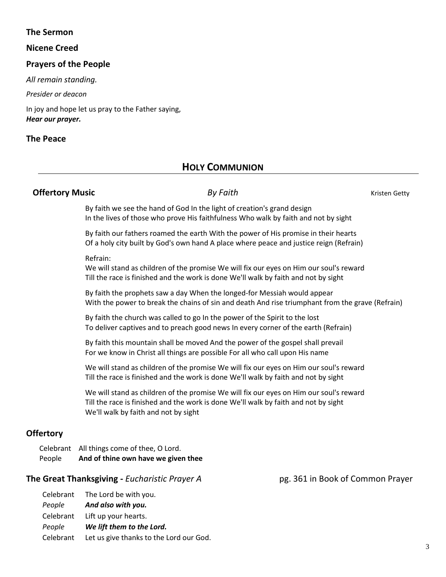## **The Sermon**

#### **Nicene Creed**

# **Prayers of the People**

*All remain standing.*

*Presider or deacon*

In joy and hope let us pray to the Father saying, *Hear our prayer.*

#### **The Peace**

# **HOLY COMMUNION**

## **Offertory Music** *By Faith By Faith Kristen Getty*

By faith we see the hand of God In the light of creation's grand design In the lives of those who prove His faithfulness Who walk by faith and not by sight

By faith our fathers roamed the earth With the power of His promise in their hearts Of a holy city built by God's own hand A place where peace and justice reign (Refrain)

#### Refrain:

We will stand as children of the promise We will fix our eyes on Him our soul's reward Till the race is finished and the work is done We'll walk by faith and not by sight

By faith the prophets saw a day When the longed-for Messiah would appear With the power to break the chains of sin and death And rise triumphant from the grave (Refrain)

By faith the church was called to go In the power of the Spirit to the lost To deliver captives and to preach good news In every corner of the earth (Refrain)

By faith this mountain shall be moved And the power of the gospel shall prevail For we know in Christ all things are possible For all who call upon His name

We will stand as children of the promise We will fix our eyes on Him our soul's reward Till the race is finished and the work is done We'll walk by faith and not by sight

We will stand as children of the promise We will fix our eyes on Him our soul's reward Till the race is finished and the work is done We'll walk by faith and not by sight We'll walk by faith and not by sight

# **Offertory**

Celebrant All things come of thee, O Lord. People **And of thine own have we given thee**

#### **The Great Thanksgiving** - *Eucharistic Prayer A* pg. 361 in Book of Common Prayer

Celebrant The Lord be with you. *People And also with you.* Celebrant Lift up your hearts. *People We lift them to the Lord.* Celebrant Let us give thanks to the Lord our God.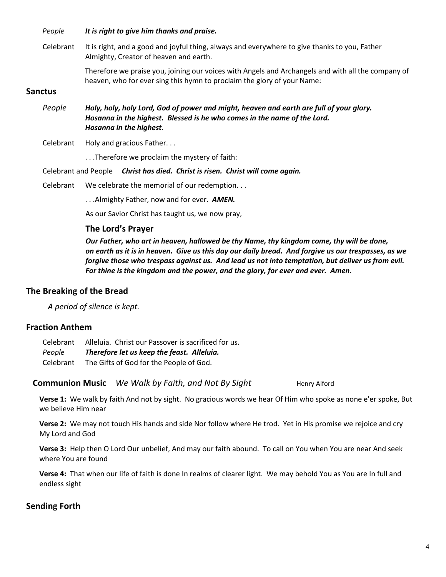*People It is right to give him thanks and praise.*

Celebrant It is right, and a good and joyful thing, always and everywhere to give thanks to you, Father Almighty, Creator of heaven and earth.

> Therefore we praise you, joining our voices with Angels and Archangels and with all the company of heaven, who for ever sing this hymn to proclaim the glory of your Name:

# **Sanctus**

- *People Holy, holy, holy Lord, God of power and might, heaven and earth are full of your glory. Hosanna in the highest. Blessed is he who comes in the name of the Lord. Hosanna in the highest.*
- Celebrant Holy and gracious Father...

. . .Therefore we proclaim the mystery of faith:

Celebrant and People *Christ has died. Christ is risen. Christ will come again.*

Celebrant We celebrate the memorial of our redemption. . .

. . .Almighty Father, now and for ever. *AMEN.*

As our Savior Christ has taught us, we now pray,

#### **The Lord's Prayer**

*Our Father, who art in heaven, hallowed be thy Name, thy kingdom come, thy will be done, on earth as it is in heaven. Give us this day our daily bread. And forgive us our trespasses, as we forgive those who trespass against us. And lead us not into temptation, but deliver us from evil. For thine is the kingdom and the power, and the glory, for ever and ever. Amen.*

#### **The Breaking of the Bread**

*A period of silence is kept.*

# **Fraction Anthem**

Celebrant Alleluia. Christ our Passover is sacrificed for us. *People Therefore let us keep the feast. Alleluia.* Celebrant The Gifts of God for the People of God.

**Communion Music** We Walk by Faith, and Not By Sight Henry Alford

**Verse 1:** We walk by faith And not by sight. No gracious words we hear Of Him who spoke as none e'er spoke, But we believe Him near

**Verse 2:** We may not touch His hands and side Nor follow where He trod. Yet in His promise we rejoice and cry My Lord and God

**Verse 3:** Help then O Lord Our unbelief, And may our faith abound. To call on You when You are near And seek where You are found

**Verse 4:** That when our life of faith is done In realms of clearer light. We may behold You as You are In full and endless sight

# **Sending Forth**